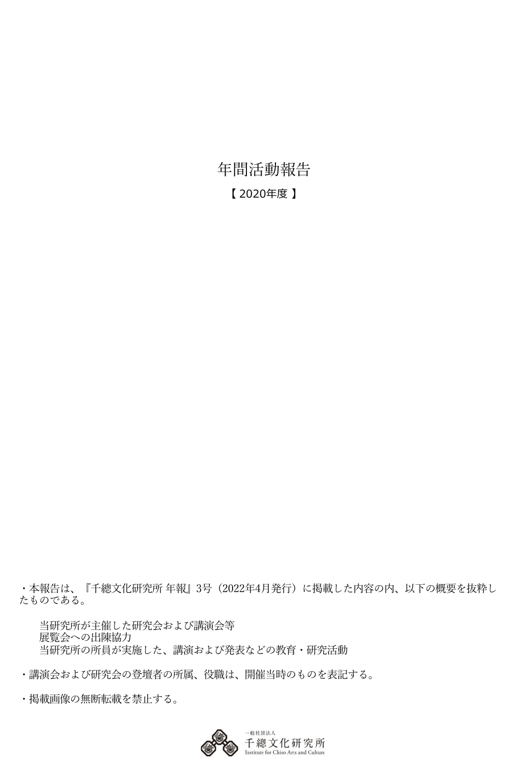年間活動報告 【 2020年度 】

・本報告は、『千總⽂化研究所 年報』3号(2022年4⽉発⾏)に掲載した内容の内、以下の概要を抜粋し たものである。

当研究所が主催した研究会および講演会等 展覧会への出陳協力 当研究所の所員が実施した、講演および発表などの教育・研究活動

・講演会および研究会の登壇者の所属、役職は、開催当時のものを表記する。

• 掲載画像の無断転載を禁止する。

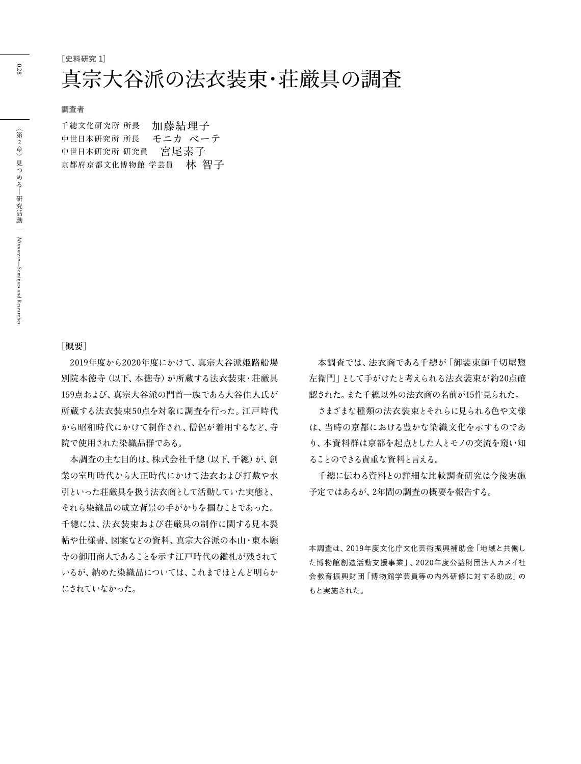**[史料研究 1]**

## 真宗大谷派の法衣装束・荘厳具の調査

**調査者**

| 千總文化研究所 所長     | 加藤結理子   |
|----------------|---------|
| 中世日本研究所 所長     | モニカ ベーテ |
| 中世日本研究所 研究員    | 宮尾素子    |
| 京都府京都文化博物館 学芸員 | 林 智子    |

#### **[概要]**

2019年度から2020年度にかけて、真宗大谷派姫路船場 別院本徳寺(以下、本徳寺)が所蔵する法衣装束・荘厳具 159点および、真宗大谷派の門首一族である大谷佳人氏が 所蔵する法衣装束50点を対象に調査を行った。江戸時代 から昭和時代にかけて制作され、僧侶が着用するなど、寺 院で使用された染織品群である。

本調査の主な目的は、株式会社千總(以下、千總)が、創 業の室町時代から大正時代にかけて法衣および打敷や水 引といった荘厳具を扱う法衣商として活動していた実態と、 それら染織品の成立背景の手がかりを掴むことであった。 千總には、法衣装束および荘厳具の制作に関する見本裂 帖や仕様書、図案などの資料、真宗大谷派の本山・東本願 寺の御用商人であることを示す江戸時代の鑑札が残されて いるが、納めた染織品については、これまでほとんど明らか にされていなかった。

本調査では、法衣商である千總が「御装束師千切屋惣 左衛門」として手がけたと考えられる法衣装束が約20点確 認された。また千總以外の法衣商の名前が15件見られた。

さまざまな種類の法衣装束とそれらに見られる色や文様 は、当時の京都における豊かな染織文化を示すものであ り、本資料群は京都を起点とした人とモノの交流を窺い知 ることのできる貴重な資料と言える。

千總に伝わる資料との詳細な比較調査研究は今後実施 予定ではあるが、2年間の調査の概要を報告する。

本調査は、2019年度文化庁文化芸術振興補助金「地域と共働し た博物館創造活動支援事業」、2020年度公益財団法人カメイ社 会教育振興財団「博物館学芸員等の内外研修に対する助成」の もと実施された。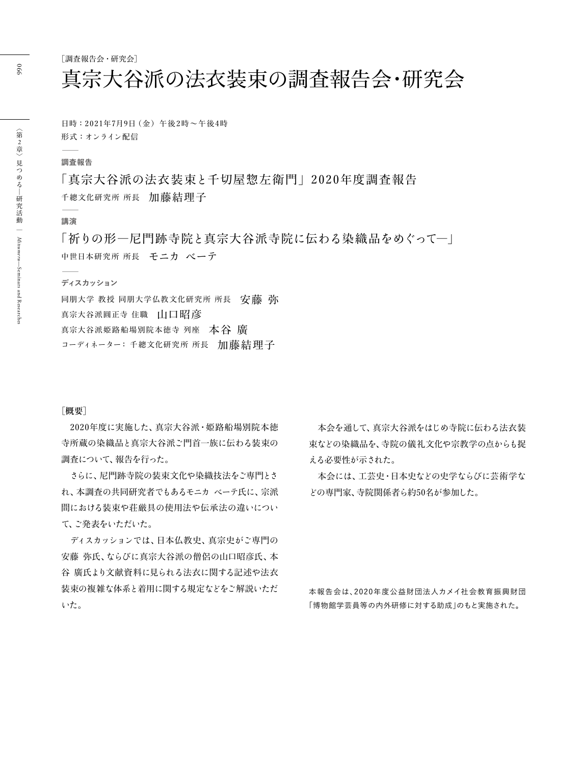[調査報告会·研究会]

# 真宗大谷派の法衣装束の調査報告会・研究会

日時: 2021年7月9日 (金) 午後2時~午後4時 形式:オンライン配信 ʕ

#### **調査報告**

「真宗大谷派の法衣装束と千切屋惣左衛門」2020年度調査報告 千總文化研究所 所長 加藤結理子  $\overline{\phantom{a}}$ 

#### **講演**

「祈りの形一尼門跡寺院と真宗大谷派寺院に伝わる染織品をめぐってー」 中世日本研究所 所長 モニカ ベーテ ʕ

#### **ディスカッション**

同朋大学 教授 同朋大学仏教文化研究所 所長 安藤 弥 真宗大谷派圓正寺 住職 山口昭彦 真宗大谷派姫路船場別院本徳寺 列座 本谷 廣 コーディネーター: 千總文化研究所 所長 加藤結理子

#### **[概要]**

2020年度に実施した、真宗大谷派·姫路船場別院本徳 寺所蔵の染織品と真宗大谷派ご門首一族に伝わる装束の 調査について、報告を行った。

さらに、尼門跡寺院の装束文化や染織技法をご専門とさ れ、本調杳の共同研究者でもあるモニカ ベーテ氏に、宗派 間における装束や荘厳具の使用法や伝承法の違いについ て、ご発表をいただいた。

ディスカッションでは、日本仏教史、真宗史がご専門の 安藤 弥氏、ならびに真宗大谷派の僧侶の山口昭彦氏、本 谷 廣氏より文献資料に見られる法衣に関する記述や法衣 装束の複雑な体系と着用に関する規定などをご解説いただ いた。

本会を通して、真宗大谷派をはじめ寺院に伝わる法衣装 束などの染織品を、寺院の儀礼文化や宗教学の点からも捉 える必要性が示された。

本会には、工芸史・日本史などの史学ならびに芸術学な どの専門家、寺院関係者ら約50名が参加した。

本報告会は、2020年度公益財団法人カメイ社会教育振興財団 「博物館学芸員等の内外研修に対する助成」のもと実施された。

066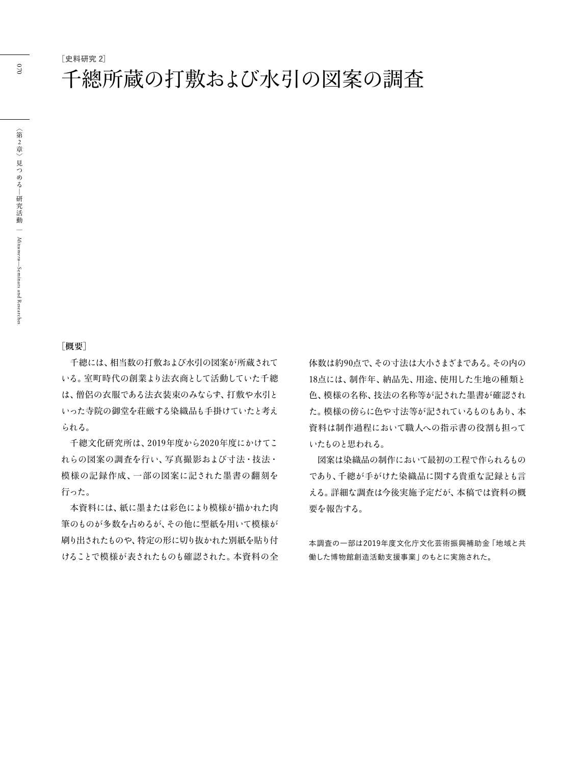**[史料研究 2]**

#### **[概要]**

千總には、相当数の打敷および水引の図案が所蔵されて いる。室町時代の創業より法衣商として活動していた千總 は、僧侶の衣服である法衣装束のみならず、打敷や水引と いった寺院の御堂を荘厳する染織品も手掛けていたと考え られる。

千總文化研究所は、2019年度から2020年度にかけてこ れらの図案の調査を行い、写真撮影および寸法・技法・ 模様の記録作成、一部の図案に記された墨書の翻刻を 行った。

本資料には、紙に墨または彩色により模様が描かれた肉 筆のものが多数を占めるが、その他に型紙を用いて模様が 刷り出されたものや、特定の形に切り抜かれた別紙を貼り付 けることで模様が表されたものも確認された。本資料の全 体数は約90点で、その寸法は大小さまざまである。その内の 18点には、制作年、納品先、用途、使用した生地の種類と 色、模様の名称、技法の名称等が記された墨書が確認され た。模様の傍らに色や寸法等が記されているものもあり、本 資料は制作過程において職人への指示書の役割も担って いたものと思われる。

図案は染織品の制作において最初の工程で作られるもの であり、千總が手がけた染織品に関する貴重な記録とも言 える。詳細な調査は今後実施予定だが、本稿では資料の概 要を報告する。

本調査の一部は2019年度文化庁文化芸術振興補助金「地域と共 働した博物館創造活動支援事業」のもとに実施された。

ă

070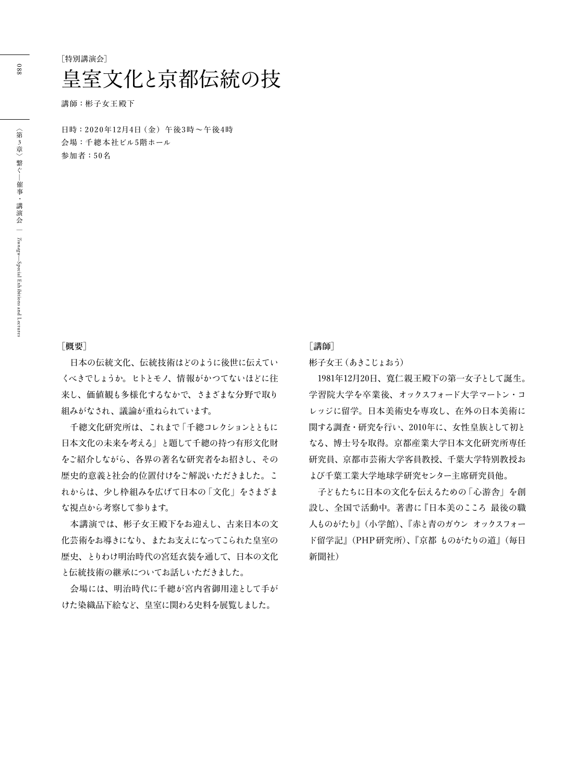講師: 彬子女王殿下

日時: 2020年12月4日 (金) 午後3時~午後4時 会場:千總本社ビル5階ホール 参加者:50名

#### [概要]

日本の伝統文化、伝統技術はどのように後世に伝えてい くべきでしょうか。ヒトとモノ、情報がかつてないほどに往 来し、価値観も多様化するなかで、さまざまな分野で取り 組みがなされ、議論が重ねられています。

千總文化研究所は、これまで「千總コレクションとともに 日本文化の未来を考える」と題して千總の持つ有形文化財 をご紹介しながら、各界の著名な研究者をお招きし、その 歴史的意義と社会的位置付けをご解説いただきました。こ れからは、少し枠組みを広げて日本の「文化」をさまざま な視点から考察して参ります。

本講演では、彬子女王殿下をお迎えし、古来日本の文 化芸術をお導きになり、またお支えになってこられた皇室の 歴史、とりわけ明治時代の宮廷衣装を通して、日本の文化 と伝統技術の継承についてお話しいただきました。

会場には、明治時代に千總が宮内省御用達として手が けた染織品下絵など、皇室に関わる史料を展覧しました。

#### **[講師]**

彬子女王 (あきこじょおう)

1981年12月20日、寛仁親王殿下の第一女子として誕生。 学習院大学を卒業後、オックスフォード大学マートン・コ レッジに留学。日本美術史を専攻し、在外の日本美術に 関する調査・研究を行い、2010年に、女性皇族として初と なる、博士号を取得。京都産業大学日本文化研究所専任 研究員、京都市芸術大学客員教授、千葉大学特別教授お よび千葉工業大学地球学研究センター主席研究員他。

子どもたちに日本の文化を伝えるための「心游舎」を創 設し、全国で活動中。著書に『日本美のこころ 最後の職 人ものがたり』(小学館)、『赤と青のガウン オックスフォー ド留学記』(PHP研究所)、『京都 ものがたりの道』(毎日 新聞社)

088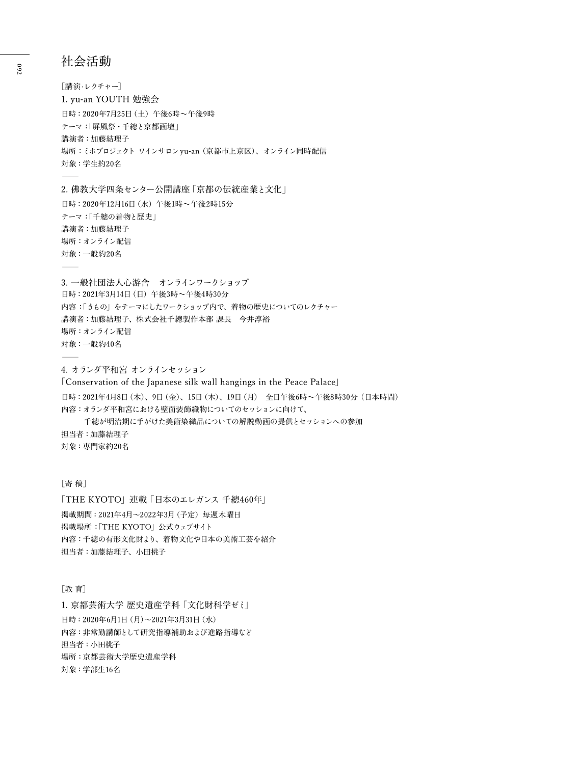#### 社会活動

「講演·レクチャー] 1. yu-an YOUTH 勉強会 日時: 2020年7月25日 (土) 午後6時~午後9時 テーマ:「屏風祭・千總と京都画壇」 講演者:加藤結理子 場所: ミホプロジェクト ワインサロン yu-an (京都市上京区)、オンライン同時配信 対象:学生約20名  $\frac{a}{a}$ 

2. 佛教大学四条センター公開講座 | 京都の伝統産業と文化」 日時: 2020年12月16日 (水) 午後1時~午後2時15分 テーマ:「千總の着物と歴史」 講演者:加藤結理子 場所:オンライン配信 対象:一般約20名  $\equiv$ 

3. 一般社団法人心游舎 オンラインワークショップ 日時: 2021年3月14日 (日) 午後3時~午後4時30分 内容:「きもの」をテーマにしたワークショップ内で、着物の歴史についてのレクチャー 講演者:加藤結理子、株式会社千總製作本部 課長 今井淳裕 場所:オンライン配信 対象:一般約40名  $\equiv$ 

4. オランダ平和宮 オンラインセッション

[Conservation of the Japanese silk wall hangings in the Peace Palace] 日時: 2021年4月8日 (木)、9日 (金)、15日 (木)、19日 (月) 全日午後6時~午後8時30分 (日本時間) 内容:オランダ平和宮における壁面装飾織物についてのセッションに向けて、 千總が明治期に手がけた美術染織品についての解説動画の提供とセッションへの参加 担当者:加藤結理子 対象: 専門家約20名

#### [寄稿]

「THE KYOTO」連載「日本のエレガンス 千總460年」 揭載期間: 2021年4月~2022年3月 (予定) 毎週木曜日 掲載場所:「THE KYOTO」公式ウェブサイト 内容:千總の有形文化財より、着物文化や日本の美術工芸を紹介 担当者:加藤結理子、小田桃子

#### [教育]

1. 京都芸術大学 歴史遺産学科「文化財科学ゼミ」 日時: 2020年6月1日 (月)~2021年3月31日 (水) 内容:非常勤講師として研究指導補助および進路指導など 担当者:小田桃子 場所:京都芸術大学歴史遺産学科 対象:学部生16名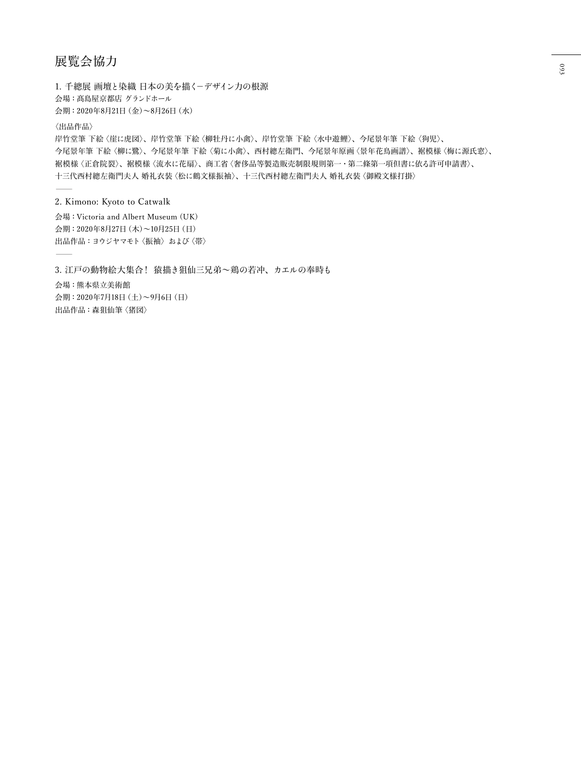### 展覧会協力

1. 千總展 画壇と染織 日本の美を描くーデザイン力の根源 会場:髙島屋京都店 グランドホール 会期: 2020年8月21日 (金)~8月26日 (水) 〈出品作品〉 岸竹堂筆 下絵〈崖に虎図〉、岸竹堂筆 下絵〈柳牡丹に小禽〉、岸竹堂筆 下絵〈水中遊鯉〉、今尾景年筆 下絵〈狗児〉、 今尾景年筆 下絵〈柳に鷺〉、今尾景年第〈菊に小禽〉、西村總左衛門、今尾景年原画〈景年花鳥画譜〉、裾模様〈梅に源氏窓〉、 裾模様〈正倉院裂〉、裾模様〈流水に花扇〉、商工省〈奢侈品等製造販売制限規則第一・第二條第一項但書に依る許可申請書〉、

十三代西村總左衛門夫人 婚礼衣装〈松に鶴文様振袖〉、十三代西村總左衛門夫人 婚礼衣装〈御殿文様打掛〉  $\equiv$ 

#### 2. Kimono: Kyoto to Catwalk

会場:Victoria and Albert Museum (UK) 会期: 2020年8月27日 (木)~10月25日 (日) 出品作品:ヨウジヤマモト〈振袖〉および〈帯〉 ʕ

3. 江戸の動物絵大集合! 猿描き狙仙三兄弟~鶏の若冲、カエルの奉時も 会場:熊本県立美術館 会期: 2020年7月18日 (土)~9月6日 (日) 出品作品:森狙仙筆〈猪図〉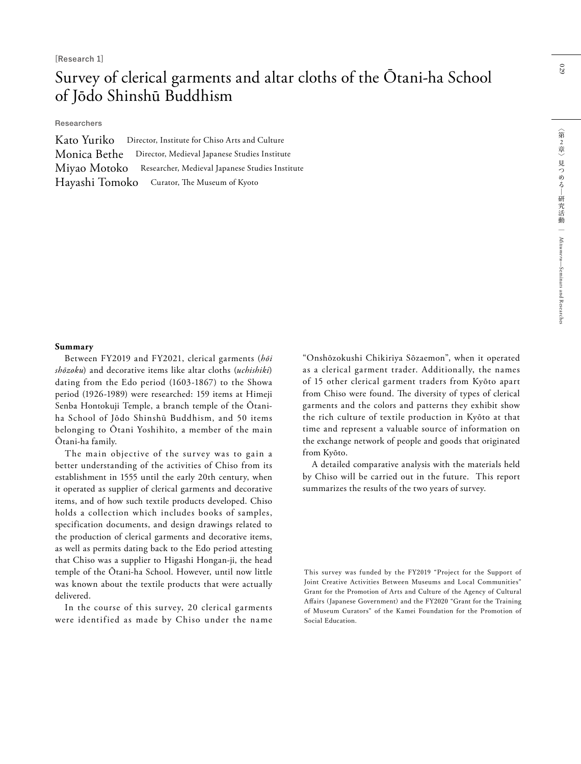### Survey of clerical garments and altar cloths of the Ōtani-ha School of Jōdo Shinshū Buddhism

Researchers

|              | Kato Yuriko Director, Institute for Chiso Arts and Culture |
|--------------|------------------------------------------------------------|
|              | Monica Bethe Director, Medieval Japanese Studies Institute |
| Miyao Motoko | Researcher, Medieval Japanese Studies Institute            |
|              | Hayashi Tomoko Curator, The Museum of Kyoto                |

#### **Summary**

Between FY2019 and FY2021, clerical garments (*hōi shōzoku*) and decorative items like altar cloths (*uchishiki*) dating from the Edo period (1603-1867) to the Showa period (1926-1989) were researched: 159 items at Himeji Senba Hontokuji Temple, a branch temple of the Ōtaniha School of Jōdo Shinshū Buddhism, and 50 items belonging to Ōtani Yoshihito, a member of the main Ōtani-ha family.

The main objective of the survey was to gain a better understanding of the activities of Chiso from its establishment in 1555 until the early 20th century, when it operated as supplier of clerical garments and decorative items, and of how such textile products developed. Chiso holds a collection which includes books of samples, specification documents, and design drawings related to the production of clerical garments and decorative items, as well as permits dating back to the Edo period attesting that Chiso was a supplier to Higashi Hongan-ji, the head temple of the Ōtani-ha School. However, until now little was known about the textile products that were actually delivered.

In the course of this survey, 20 clerical garments were identified as made by Chiso under the name "Onshōzokushi Chikiriya Sōzaemon", when it operated as a clerical garment trader. Additionally, the names of 15 other clerical garment traders from Kyōto apart from Chiso were found. The diversity of types of clerical garments and the colors and patterns they exhibit show the rich culture of textile production in Kyōto at that time and represent a valuable source of information on the exchange network of people and goods that originated from Kyōto.

A detailed comparative analysis with the materials held by Chiso will be carried out in the future. This report summarizes the results of the two years of survey.

This survey was funded by the FY2019 "Project for the Support of Joint Creative Activities Between Museums and Local Communities" Grant for the Promotion of Arts and Culture of the Agency of Cultural Affairs (Japanese Government) and the FY2020 "Grant for the Training of Museum Curators" of the Kamei Foundation for the Promotion of Social Education.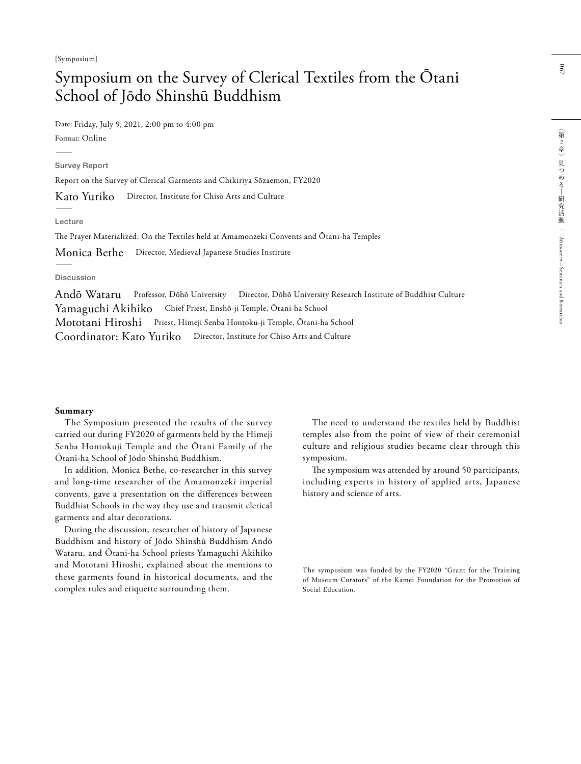### Symposium on the Survey of Clerical Textiles from the Ōtani School of Jōdo Shinshū Buddhism

Date: Friday, July 9, 2021, 2:00 pm to 4:00 pm Format: Online ʕ

Survey Report

Report on the Survey of Clerical Garments and Chikiriya Sōzaemon, FY2020

Director, Institute for Chiso Arts and Culture Kato Yuriko

Lecture

The Prayer Materialized: On the Textiles held at Amamonzeki Convents and Ōtani-ha Temples

Director, Medieval Japanese Studies Institute Monica Bethe

Discussion

Andō Wataru Professor, Dōhō University Director, Dōhō University Research Institute of Buddhist Culture Yamaguchi Akihiko Chief Priest, Enshō-ji Temple, Ōtani-ha School Mototani Hiroshi Priest, Himeji Senba Hontoku-ji Temple, Ōtani-ha School Coordinator: Kato Yuriko Director, Institute for Chiso Arts and Culture

#### **Summary**

The Symposium presented the results of the survey carried out during FY2020 of garments held by the Himeji Senba Hontokuji Temple and the Ōtani Family of the Ōtani-ha School of Jōdo Shinshū Buddhism.

In addition, Monica Bethe, co-researcher in this survey and long-time researcher of the Amamonzeki imperial convents, gave a presentation on the differences between Buddhist Schools in the way they use and transmit clerical garments and altar decorations.

During the discussion, researcher of history of Japanese Buddhism and history of Jōdo Shinshū Buddhism Andō Wataru, and Ōtani-ha School priests Yamaguchi Akihiko and Mototani Hiroshi, explained about the mentions to these garments found in historical documents, and the complex rules and etiquette surrounding them.

The need to understand the textiles held by Buddhist temples also from the point of view of their ceremonial culture and religious studies became clear through this symposium.

The symposium was attended by around 50 participants, including experts in history of applied arts, Japanese history and science of arts.

The symposium was funded by the FY2020 "Grant for the Training of Museum Curators" of the Kamei Foundation for the Promotion of Social Education.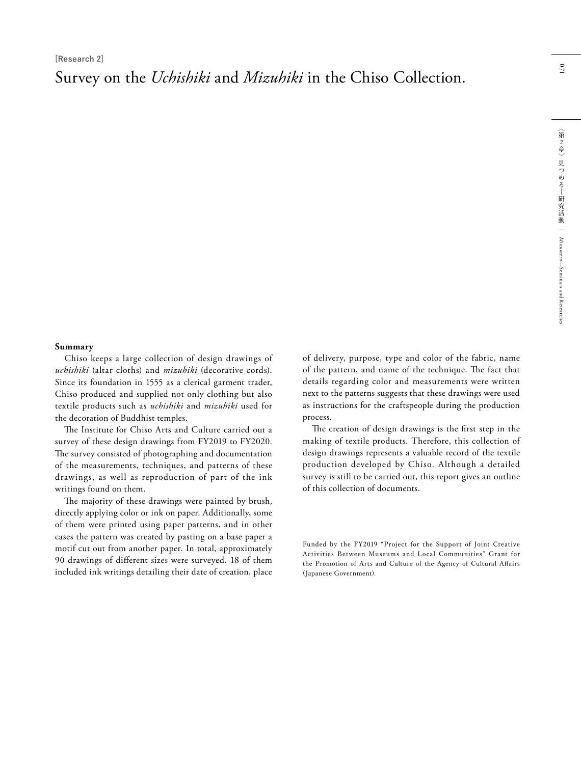Survey on the *Uchishiki* and *Mizuhiki* in the Chiso Collection.

Chiso keeps a large collection of design drawings of *uchishiki* (altar cloths) and *mizuhiki* (decorative cords). Since its foundation in 1555 as a clerical garment trader, Chiso produced and supplied not only clothing but also textile products such as *uchishiki* and *mizuhiki* used for the decoration of Buddhist temples.

The Institute for Chiso Arts and Culture carried out a survey of these design drawings from FY2019 to FY2020. The survey consisted of photographing and documentation of the measurements, techniques, and patterns of these drawings, as well as reproduction of part of the ink writings found on them.

The majority of these drawings were painted by brush, directly applying color or ink on paper. Additionally, some of them were printed using paper patterns, and in other cases the pattern was created by pasting on a base paper a motif cut out from another paper. In total, approximately 90 drawings of different sizes were surveyed. 18 of them included ink writings detailing their date of creation, place of delivery, purpose, type and color of the fabric, name of the pattern, and name of the technique. The fact that details regarding color and measurements were written next to the patterns suggests that these drawings were used as instructions for the craftspeople during the production process.

The creation of design drawings is the first step in the making of textile products. Therefore, this collection of design drawings represents a valuable record of the textile production developed by Chiso. Although a detailed survey is still to be carried out, this report gives an outline of this collection of documents.

Funded by the FY2019 "Project for the Support of Joint Creative Activities Between Museums and Local Communities" Grant for the Promotion of Arts and Culture of the Agency of Cultural Affairs (Japanese Government).